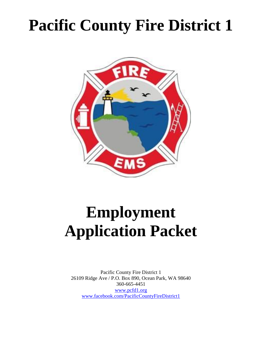# **Pacific County Fire District 1**



# **Employment Application Packet**

Pacific County Fire District 1 26109 Ridge Ave / P.O. Box 890, Ocean Park, WA 98640 360-665-4451 [www.pcfd1.org](http://www.pcfd1.org/) [www.facebook.com/PacificCountyFireDistrict1](http://www.facebook.com/PacificCountyFireDistrict1)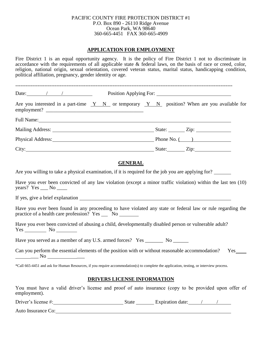#### PACIFIC COUNTY FIRE PROTECTION DISTRICT #1 P.O. Box 890 - 26110 Ridge Avenue Ocean Park, WA 98640 360-665-4451 FAX 360-665-4909

#### **APPLICATION FOR EMPLOYMENT**

Fire District 1 is an equal opportunity agency. It is the policy of Fire District 1 not to discriminate in accordance with the requirements of all applicable state & federal laws, on the basis of race or creed, color, religion, national origin, sexual orientation, covered veteran status, marital status, handicapping condition, political affiliation, pregnancy, gender identity or age.

| Date: $\qquad \qquad / \qquad \qquad /$                                                                                                                                                                                        |  | Position Applying For:        |
|--------------------------------------------------------------------------------------------------------------------------------------------------------------------------------------------------------------------------------|--|-------------------------------|
| Are you interested in a part-time $Y \ N$ or temporary $Y \ N$ position? When are you available for                                                                                                                            |  |                               |
| Full Name: Name and Solid School and School and School and School and School and School and School and School and School and School and School and School and School and School and School and School and School and School an |  |                               |
| Mailing Address: National Address: National Address: National Address: National Address: National Address: National Address: National Address: National Address: National Address: National Address: National Address: Nationa |  | State: $\angle$ Zip: $\angle$ |
| Physical Address: No. 1996. The Second Second Second Second Second Second Second Second Second Second Second Second Second Second Second Second Second Second Second Second Second Second Second Second Second Second Second S |  | Phone No. $($                 |
|                                                                                                                                                                                                                                |  | State: <u>Zip:</u> Zip:       |

## **GENERAL**

Are you willing to take a physical examination, if it is required for the job you are applying for?

Have you ever been convicted of any law violation (except a minor traffic violation) within the last ten (10) years? Yes  $\_\_\_\$  No  $\_\_\_\_\$ 

If yes, give a brief explanation

Have you ever been found in any proceeding to have violated any state or federal law or rule regarding the practice of a health care profession? Yes No

Have you ever been convicted of abusing a child, developmentally disabled person or vulnerable adult?  $Yes$  No  $\_\_\_\_\_\$ 

Have you served as a member of any U.S. armed forces? Yes \_\_\_\_\_\_\_\_ No \_\_\_\_\_\_\_\_

Can you perform the essential elements of the position with or without reasonable accommodation? Yes  $\rm No$ 

\*Call 665-4451 and ask for Human Resources, if you require accommodation(s) to complete the application, testing, or interview process.

## **DRIVERS LICENSE INFORMATION**

You must have a valid driver's license and proof of auto insurance (copy to be provided upon offer of employment).

| Driver's license #: | state | Expiration date: |  |
|---------------------|-------|------------------|--|
|                     |       |                  |  |

Auto Insurance Co: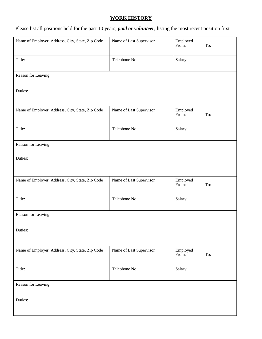# **WORK HISTORY**

Please list all positions held for the past 10 years, *paid or volunteer*, listing the most recent position first.

| Name of Employer, Address, City, State, Zip Code | Name of Last Supervisor | Employed<br>To:<br>From: |
|--------------------------------------------------|-------------------------|--------------------------|
| Title:                                           | Telephone No.:          | Salary:                  |
| Reason for Leaving:                              |                         |                          |
| Duties:                                          |                         |                          |
| Name of Employer, Address, City, State, Zip Code | Name of Last Supervisor | Employed<br>From:<br>To: |
| Title:                                           | Telephone No.:          | Salary:                  |
| Reason for Leaving:                              |                         |                          |
| Duties:                                          |                         |                          |
| Name of Employer, Address, City, State, Zip Code | Name of Last Supervisor | Employed<br>To:<br>From: |
| Title:                                           | Telephone No.:          | Salary:                  |
| Reason for Leaving:                              |                         |                          |
| Duties:                                          |                         |                          |
| Name of Employer, Address, City, State, Zip Code | Name of Last Supervisor | Employed<br>To:<br>From: |
| Title:                                           | Telephone No.:          | Salary:                  |
| Reason for Leaving:                              |                         |                          |
| Duties:                                          |                         |                          |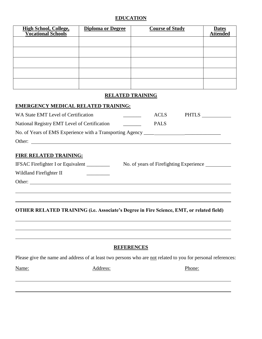## **EDUCATION**

| <b>High School, College,<br/>Vocational Schools</b> | <b>Diploma or Degree</b> | <b>Course of Study</b> | <b>Dates</b><br><b>Attended</b> |
|-----------------------------------------------------|--------------------------|------------------------|---------------------------------|
|                                                     |                          |                        |                                 |
|                                                     |                          |                        |                                 |
|                                                     |                          |                        |                                 |
|                                                     |                          |                        |                                 |
|                                                     |                          |                        |                                 |

## **RELATED TRAINING**

#### **EMERGENCY MEDICAL RELATED TRAINING:**

| WA State EMT Level of Certification                                               | <b>ACLS</b> | <b>PHTLS</b> |
|-----------------------------------------------------------------------------------|-------------|--------------|
| National Registry EMT Level of Certification                                      | PALS        |              |
| No. of Years of EMS Experience with a Transporting Agency _______________________ |             |              |
| Other:                                                                            |             |              |
|                                                                                   |             |              |

## **FIRE RELATED TRAINING:**

| <b>IFSAC</b> Firefighter I or Equivalent | No. of years of Firefighting Experience |
|------------------------------------------|-----------------------------------------|
| Wildland Firefighter II                  |                                         |
| Other:                                   |                                         |

# **OTHER RELATED TRAINING (i.e. Associate's Degree in Fire Science, EMT, or related field)**

#### **REFERENCES**

Please give the name and address of at least two persons who are not related to you for personal references:

Name: Address: Address: Phone: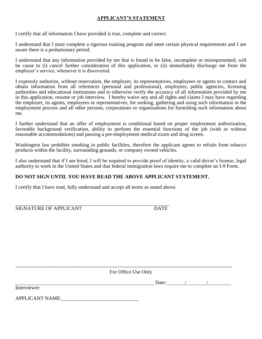## **APPLICANT'S STATEMENT**

I certify that all information I have provided is true, complete and correct.

I understand that I must complete a rigorous training program and meet certain physical requirements and I am aware there is a probationary period.

I understand that any information provided by me that is found to be false, incomplete or misrepresented, will be cause to (i) cancel further consideration of this application, or (ii) immediately discharge me from the employer's service, whenever it is discovered.

I expressly authorize, without reservation, the employer, its representatives, employees or agents to contact and obtain information from all references (personal and professional), employers, public agencies, licensing authorities and educational institutions and to otherwise verify the accuracy of all information provided by me in this application, resume or job interview. I hereby waive any and all rights and claims I may have regarding the employer, its agents, employees or representatives, for seeking, gathering and using such information in the employment process and all other persons, corporations or organizations for furnishing such information about me.

I further understand that an offer of employment is conditional based on proper employment authorization, favorable background verification, ability to perform the essential functions of the job (with or without reasonable accommodations) and passing a pre-employment medical exam and drug screen.

Washington law prohibits smoking in public facilities, therefore the applicant agrees to refrain from tobacco products within the facility, surrounding grounds, or company owned vehicles.

I also understand that if I am hired, I will be required to provide proof of identity, a valid driver's license, legal authority to work in the United States and that federal immigration laws require me to complete an I-9 Form.

## **DO NOT SIGN UNTIL YOU HAVE READ THE ABOVE APPLICANT STATEMENT.**

I certify that I have read, fully understand and accept all terms as stated above.

| SIGNATURE OF APPLICANT |  |
|------------------------|--|
|                        |  |

------------------------------------------------------------------------------------------------------------------------------- For Office Use Only  $\frac{1}{2}$  Date:  $\frac{1}{2}$  /  $\frac{1}{2}$  /  $\frac{1}{2}$  /  $\frac{1}{2}$  /  $\frac{1}{2}$  /  $\frac{1}{2}$  /  $\frac{1}{2}$  /  $\frac{1}{2}$  /  $\frac{1}{2}$  /  $\frac{1}{2}$  /  $\frac{1}{2}$  /  $\frac{1}{2}$  /  $\frac{1}{2}$  /  $\frac{1}{2}$  /  $\frac{1}{2}$  /  $\frac{1}{2}$  /  $\frac{1}{2}$  / Interviewer: APPLICANT NAME: